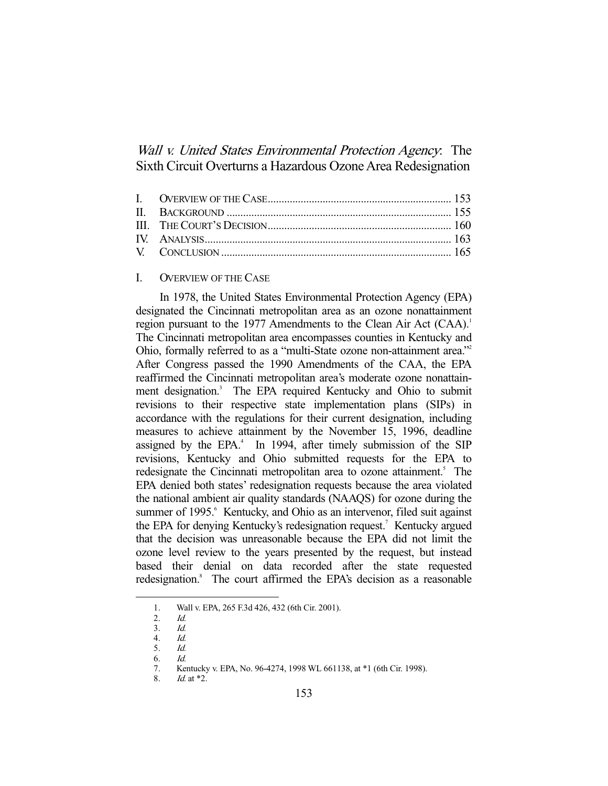Wall *v. United States Environmental Protection Agency*. The Sixth Circuit Overturns a Hazardous Ozone Area Redesignation

# I. OVERVIEW OF THE CASE

 In 1978, the United States Environmental Protection Agency (EPA) designated the Cincinnati metropolitan area as an ozone nonattainment region pursuant to the 1977 Amendments to the Clean Air Act (CAA).<sup>1</sup> The Cincinnati metropolitan area encompasses counties in Kentucky and Ohio, formally referred to as a "multi-State ozone non-attainment area."2 After Congress passed the 1990 Amendments of the CAA, the EPA reaffirmed the Cincinnati metropolitan area's moderate ozone nonattainment designation.<sup>3</sup> The EPA required Kentucky and Ohio to submit revisions to their respective state implementation plans (SIPs) in accordance with the regulations for their current designation, including measures to achieve attainment by the November 15, 1996, deadline assigned by the EPA. $4$  In 1994, after timely submission of the SIP revisions, Kentucky and Ohio submitted requests for the EPA to redesignate the Cincinnati metropolitan area to ozone attainment.<sup>5</sup> The EPA denied both states' redesignation requests because the area violated the national ambient air quality standards (NAAQS) for ozone during the summer of 1995.<sup>6</sup> Kentucky, and Ohio as an intervenor, filed suit against the EPA for denying Kentucky's redesignation request.<sup>7</sup> Kentucky argued that the decision was unreasonable because the EPA did not limit the ozone level review to the years presented by the request, but instead based their denial on data recorded after the state requested redesignation.<sup>8</sup> The court affirmed the EPA's decision as a reasonable

 <sup>1.</sup> Wall v. EPA, 265 F.3d 426, 432 (6th Cir. 2001).

<sup>2.</sup> *Id.*<br>3. *Id.* 

<sup>3.</sup>  $\frac{Id}{d}$ 

 <sup>4.</sup> Id.

 $5<sub>1</sub>$ 

 <sup>6.</sup> Id.

 <sup>7.</sup> Kentucky v. EPA, No. 96-4274, 1998 WL 661138, at \*1 (6th Cir. 1998).

 <sup>8.</sup> Id. at \*2.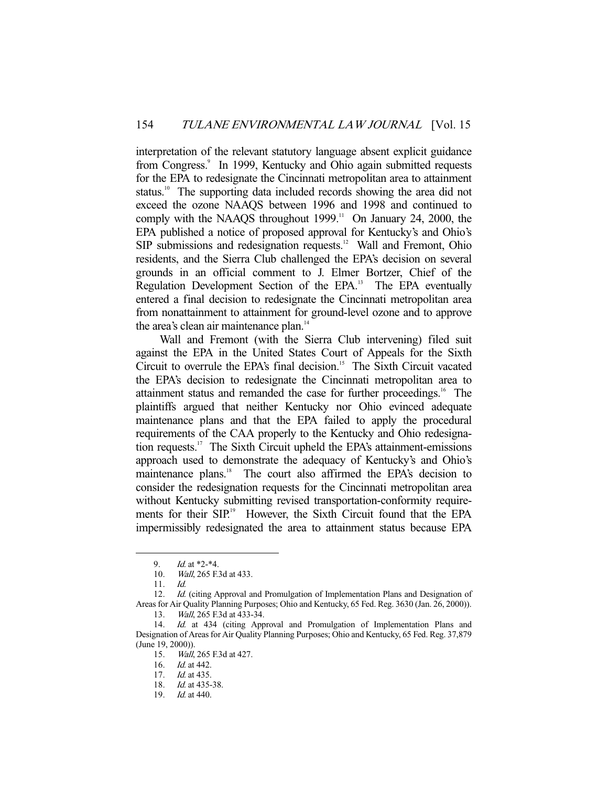interpretation of the relevant statutory language absent explicit guidance from Congress.<sup>9</sup> In 1999, Kentucky and Ohio again submitted requests for the EPA to redesignate the Cincinnati metropolitan area to attainment status.<sup>10</sup> The supporting data included records showing the area did not exceed the ozone NAAQS between 1996 and 1998 and continued to comply with the NAAQS throughout  $1999$ .<sup>11</sup> On January 24, 2000, the EPA published a notice of proposed approval for Kentucky's and Ohio's SIP submissions and redesignation requests.<sup>12</sup> Wall and Fremont, Ohio residents, and the Sierra Club challenged the EPA's decision on several grounds in an official comment to J. Elmer Bortzer, Chief of the Regulation Development Section of the EPA.<sup>13</sup> The EPA eventually entered a final decision to redesignate the Cincinnati metropolitan area from nonattainment to attainment for ground-level ozone and to approve the area's clean air maintenance plan.<sup>14</sup>

 Wall and Fremont (with the Sierra Club intervening) filed suit against the EPA in the United States Court of Appeals for the Sixth Circuit to overrule the EPA's final decision.<sup>15</sup> The Sixth Circuit vacated the EPA's decision to redesignate the Cincinnati metropolitan area to attainment status and remanded the case for further proceedings.<sup>16</sup> The plaintiffs argued that neither Kentucky nor Ohio evinced adequate maintenance plans and that the EPA failed to apply the procedural requirements of the CAA properly to the Kentucky and Ohio redesignation requests.17 The Sixth Circuit upheld the EPA's attainment-emissions approach used to demonstrate the adequacy of Kentucky's and Ohio's maintenance plans.<sup>18</sup> The court also affirmed the EPA's decision to consider the redesignation requests for the Cincinnati metropolitan area without Kentucky submitting revised transportation-conformity requirements for their SIP.<sup>19</sup> However, the Sixth Circuit found that the EPA impermissibly redesignated the area to attainment status because EPA

 <sup>9.</sup> Id. at \*2-\*4.

 <sup>10.</sup> Wall, 265 F.3d at 433.

 <sup>11.</sup> Id.

<sup>12.</sup> Id. (citing Approval and Promulgation of Implementation Plans and Designation of Areas for Air Quality Planning Purposes; Ohio and Kentucky, 65 Fed. Reg. 3630 (Jan. 26, 2000)).

<sup>13.</sup> *Wall*, 265 F.3d at 433-34.<br>14. *Id.* at 434 (citing Ann Id. at 434 (citing Approval and Promulgation of Implementation Plans and Designation of Areas for Air Quality Planning Purposes; Ohio and Kentucky, 65 Fed. Reg. 37,879 (June 19, 2000)).

 <sup>15.</sup> Wall, 265 F.3d at 427.

<sup>16.</sup> *Id.* at 442.

<sup>17.</sup> *Id.* at 435.

<sup>18.</sup> *Id.* at 435-38.

 <sup>19.</sup> Id. at 440.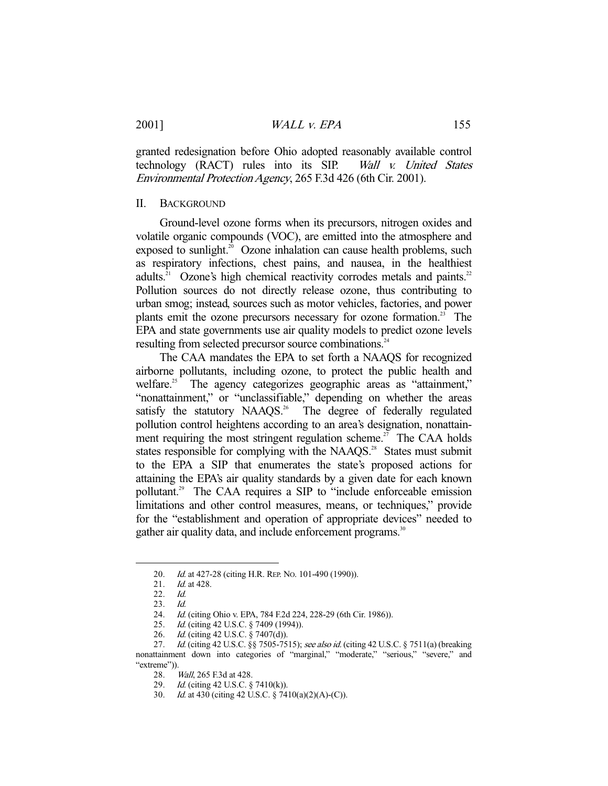granted redesignation before Ohio adopted reasonably available control technology (RACT) rules into its SIP. Wall v. United States Environmental Protection Agency, 265 F.3d 426 (6th Cir. 2001).

### II. BACKGROUND

 Ground-level ozone forms when its precursors, nitrogen oxides and volatile organic compounds (VOC), are emitted into the atmosphere and exposed to sunlight.<sup>20</sup> Ozone inhalation can cause health problems, such as respiratory infections, chest pains, and nausea, in the healthiest adults.<sup>21</sup> Ozone's high chemical reactivity corrodes metals and paints.<sup>22</sup> Pollution sources do not directly release ozone, thus contributing to urban smog; instead, sources such as motor vehicles, factories, and power plants emit the ozone precursors necessary for ozone formation.<sup>23</sup> The EPA and state governments use air quality models to predict ozone levels resulting from selected precursor source combinations.<sup>24</sup>

 The CAA mandates the EPA to set forth a NAAQS for recognized airborne pollutants, including ozone, to protect the public health and welfare.<sup>25</sup> The agency categorizes geographic areas as "attainment," "nonattainment," or "unclassifiable," depending on whether the areas satisfy the statutory NAAOS.<sup>26</sup> The degree of federally regulated pollution control heightens according to an area's designation, nonattainment requiring the most stringent regulation scheme.<sup>27</sup> The CAA holds states responsible for complying with the NAAQS.<sup>28</sup> States must submit to the EPA a SIP that enumerates the state's proposed actions for attaining the EPA's air quality standards by a given date for each known pollutant.<sup>29</sup> The CAA requires a SIP to "include enforceable emission" limitations and other control measures, means, or techniques," provide for the "establishment and operation of appropriate devices" needed to gather air quality data, and include enforcement programs.<sup>30</sup>

<sup>20.</sup> *Id.* at 427-28 (citing H.R. REP. No. 101-490 (1990)).

<sup>21.</sup> *Id.* at 428.

 <sup>22.</sup> Id.

 <sup>23.</sup> Id.

 <sup>24.</sup> Id. (citing Ohio v. EPA, 784 F.2d 224, 228-29 (6th Cir. 1986)).

<sup>25.</sup> *Id.* (citing 42 U.S.C. § 7409 (1994)).

<sup>26.</sup> *Id.* (citing 42 U.S.C. § 7407(d)).

<sup>27.</sup> Id. (citing 42 U.S.C. §§ 7505-7515); see also id. (citing 42 U.S.C. § 7511(a) (breaking nonattainment down into categories of "marginal," "moderate," "serious," "severe," and "extreme")).

 <sup>28.</sup> Wall, 265 F.3d at 428.

<sup>29.</sup> *Id.* (citing 42 U.S.C. § 7410(k)).

 <sup>30.</sup> Id. at 430 (citing 42 U.S.C. § 7410(a)(2)(A)-(C)).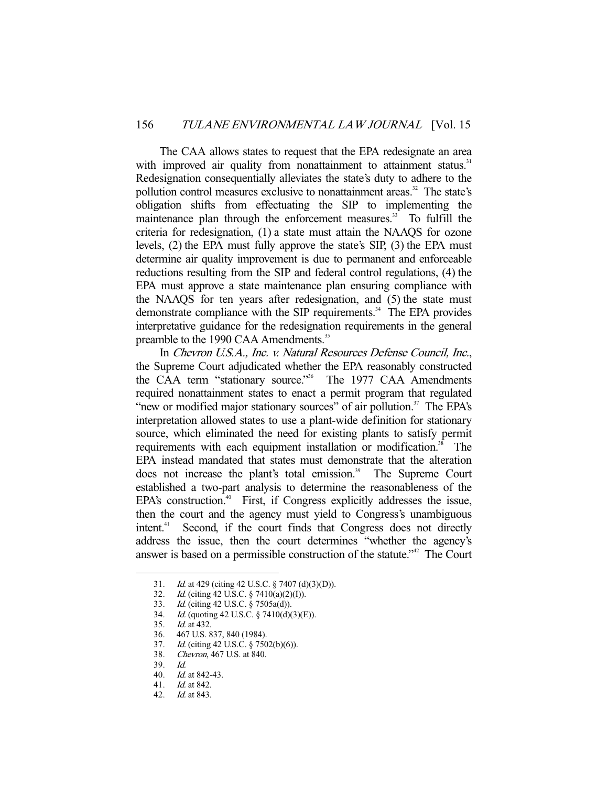The CAA allows states to request that the EPA redesignate an area with improved air quality from nonattainment to attainment status.<sup>31</sup> Redesignation consequentially alleviates the state's duty to adhere to the pollution control measures exclusive to nonattainment areas.<sup>32</sup> The state's obligation shifts from effectuating the SIP to implementing the maintenance plan through the enforcement measures.<sup>33</sup> To fulfill the criteria for redesignation, (1) a state must attain the NAAQS for ozone levels, (2) the EPA must fully approve the state's SIP, (3) the EPA must determine air quality improvement is due to permanent and enforceable reductions resulting from the SIP and federal control regulations, (4) the EPA must approve a state maintenance plan ensuring compliance with the NAAQS for ten years after redesignation, and (5) the state must demonstrate compliance with the SIP requirements.<sup>34</sup> The EPA provides interpretative guidance for the redesignation requirements in the general preamble to the 1990 CAA Amendments.<sup>35</sup>

 In Chevron U.S.A., Inc. v. Natural Resources Defense Council, Inc., the Supreme Court adjudicated whether the EPA reasonably constructed the CAA term "stationary source."<sup>36</sup> The 1977 CAA Amendments required nonattainment states to enact a permit program that regulated "new or modified major stationary sources" of air pollution.<sup>37</sup> The EPA's interpretation allowed states to use a plant-wide definition for stationary source, which eliminated the need for existing plants to satisfy permit requirements with each equipment installation or modification.<sup>38</sup> The EPA instead mandated that states must demonstrate that the alteration does not increase the plant's total emission.<sup>39</sup> The Supreme Court established a two-part analysis to determine the reasonableness of the EPA's construction.<sup>40</sup> First, if Congress explicitly addresses the issue, then the court and the agency must yield to Congress's unambiguous intent.<sup>41</sup> Second, if the court finds that Congress does not directly address the issue, then the court determines "whether the agency's answer is based on a permissible construction of the statute."42 The Court

- 38. Chevron, 467 U.S. at 840.
- 39. Id.

 <sup>31.</sup> Id. at 429 (citing 42 U.S.C. § 7407 (d)(3)(D)).

<sup>32.</sup> *Id.* (citing 42 U.S.C. § 7410(a)(2)(I)).

 <sup>33.</sup> Id. (citing 42 U.S.C. § 7505a(d)).

 <sup>34.</sup> Id. (quoting 42 U.S.C. § 7410(d)(3)(E)).

 <sup>35.</sup> Id. at 432.

 <sup>36. 467</sup> U.S. 837, 840 (1984).

 <sup>37.</sup> Id. (citing 42 U.S.C. § 7502(b)(6)).

 <sup>40.</sup> Id. at 842-43.

 <sup>41.</sup> Id. at 842.

 <sup>42.</sup> Id. at 843.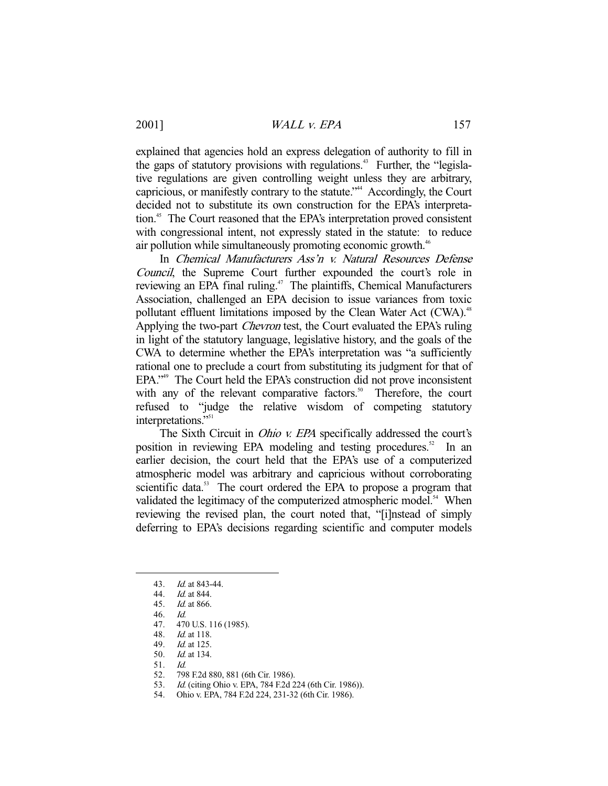explained that agencies hold an express delegation of authority to fill in the gaps of statutory provisions with regulations.<sup>43</sup> Further, the "legislative regulations are given controlling weight unless they are arbitrary, capricious, or manifestly contrary to the statute."<sup>44</sup> Accordingly, the Court decided not to substitute its own construction for the EPA's interpretation.<sup>45</sup> The Court reasoned that the EPA's interpretation proved consistent with congressional intent, not expressly stated in the statute: to reduce air pollution while simultaneously promoting economic growth.<sup>46</sup>

 In Chemical Manufacturers Ass'n v. Natural Resources Defense Council, the Supreme Court further expounded the court's role in reviewing an EPA final ruling.<sup>47</sup> The plaintiffs, Chemical Manufacturers Association, challenged an EPA decision to issue variances from toxic pollutant effluent limitations imposed by the Clean Water Act (CWA).<sup>48</sup> Applying the two-part Chevron test, the Court evaluated the EPA's ruling in light of the statutory language, legislative history, and the goals of the CWA to determine whether the EPA's interpretation was "a sufficiently rational one to preclude a court from substituting its judgment for that of EPA."<sup>49</sup> The Court held the EPA's construction did not prove inconsistent with any of the relevant comparative factors.<sup>50</sup> Therefore, the court with any of the relevant comparative factors. $50^\circ$ refused to "judge the relative wisdom of competing statutory interpretations."<sup>51</sup>

The Sixth Circuit in *Ohio v. EPA* specifically addressed the court's position in reviewing EPA modeling and testing procedures.<sup>52</sup> In an earlier decision, the court held that the EPA's use of a computerized atmospheric model was arbitrary and capricious without corroborating scientific data.<sup>53</sup> The court ordered the EPA to propose a program that validated the legitimacy of the computerized atmospheric model.<sup>54</sup> When reviewing the revised plan, the court noted that, "[i]nstead of simply deferring to EPA's decisions regarding scientific and computer models

-

48. Id. at 118.

- 51. Id.
- 52. 798 F.2d 880, 881 (6th Cir. 1986).
- 53. Id. (citing Ohio v. EPA, 784 F.2d 224 (6th Cir. 1986)).
- 54. Ohio v. EPA, 784 F.2d 224, 231-32 (6th Cir. 1986).

 <sup>43.</sup> Id. at 843-44.

 <sup>44.</sup> Id. at 844.

 <sup>45.</sup> Id. at 866.

<sup>46.</sup> *Id.*<br>47. 470

<sup>470</sup> U.S. 116 (1985).

 <sup>49.</sup> Id. at 125.

 <sup>50.</sup> Id. at 134.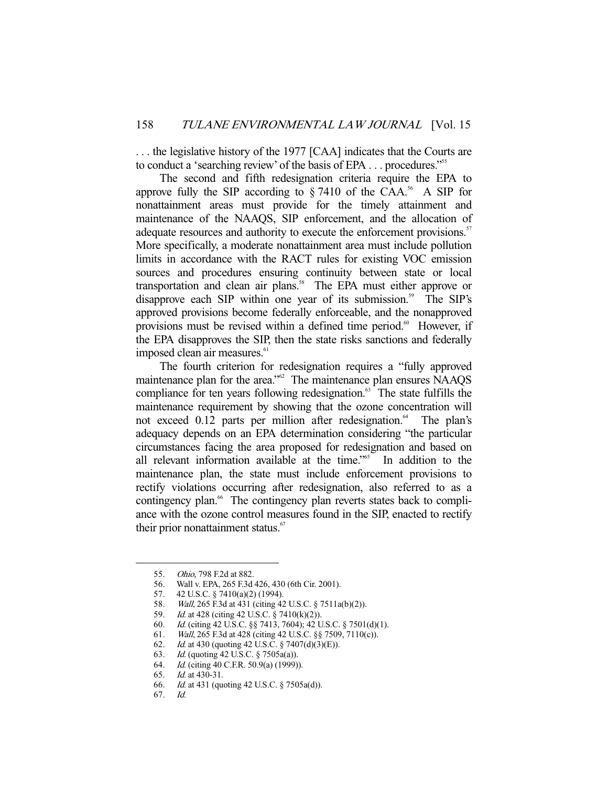. . . the legislative history of the 1977 [CAA] indicates that the Courts are to conduct a 'searching review' of the basis of EPA . . . procedures."55

 The second and fifth redesignation criteria require the EPA to approve fully the SIP according to  $\S 7410$  of the CAA.<sup>56</sup> A SIP for nonattainment areas must provide for the timely attainment and maintenance of the NAAQS, SIP enforcement, and the allocation of adequate resources and authority to execute the enforcement provisions.<sup>57</sup> More specifically, a moderate nonattainment area must include pollution limits in accordance with the RACT rules for existing VOC emission sources and procedures ensuring continuity between state or local transportation and clean air plans.<sup>58</sup> The EPA must either approve or disapprove each SIP within one year of its submission.<sup>59</sup> The SIP's approved provisions become federally enforceable, and the nonapproved provisions must be revised within a defined time period.<sup>60</sup> However, if the EPA disapproves the SIP, then the state risks sanctions and federally imposed clean air measures.<sup>61</sup>

 The fourth criterion for redesignation requires a "fully approved maintenance plan for the area."<sup>62</sup> The maintenance plan ensures NAAOS compliance for ten years following redesignation.<sup>63</sup> The state fulfills the maintenance requirement by showing that the ozone concentration will not exceed 0.12 parts per million after redesignation.<sup>64</sup> The plan's adequacy depends on an EPA determination considering "the particular circumstances facing the area proposed for redesignation and based on all relevant information available at the time."65 In addition to the maintenance plan, the state must include enforcement provisions to rectify violations occurring after redesignation, also referred to as a contingency plan.<sup>66</sup> The contingency plan reverts states back to compliance with the ozone control measures found in the SIP, enacted to rectify their prior nonattainment status.<sup>67</sup>

 <sup>55.</sup> Ohio, 798 F.2d at 882.

 <sup>56.</sup> Wall v. EPA, 265 F.3d 426, 430 (6th Cir. 2001).

 <sup>57. 42</sup> U.S.C. § 7410(a)(2) (1994).

 <sup>58.</sup> Wall, 265 F.3d at 431 (citing 42 U.S.C. § 7511a(b)(2)).

 <sup>59.</sup> Id. at 428 (citing 42 U.S.C. § 7410(k)(2)).

<sup>60.</sup> Id. (citing 42 U.S.C. §§ 7413, 7604); 42 U.S.C. § 7501(d)(1).<br>61. Wall, 265 F.3d at 428 (citing 42 U.S.C. §§ 7509, 7110(c)).

<sup>61.</sup> *Wall*, 265 F.3d at 428 (citing 42 U.S.C. §§ 7509, 7110(c)).<br>62. *Id.* at 430 (quoting 42 U.S.C. § 7407(d)(3)(E)).

*Id.* at 430 (quoting 42 U.S.C. § 7407(d)(3)(E)).

 <sup>63.</sup> Id. (quoting 42 U.S.C. § 7505a(a)).

<sup>64.</sup> *Id.* (citing 40 C.F.R. 50.9(a) (1999)).

 <sup>65.</sup> Id. at 430-31.

 <sup>66.</sup> Id. at 431 (quoting 42 U.S.C. § 7505a(d)).

 <sup>67.</sup> Id.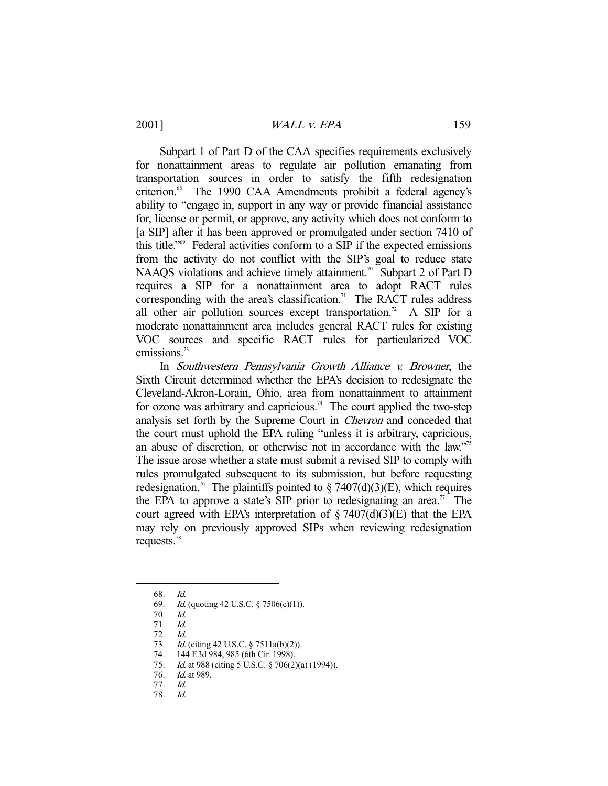Subpart 1 of Part D of the CAA specifies requirements exclusively for nonattainment areas to regulate air pollution emanating from transportation sources in order to satisfy the fifth redesignation criterion.<sup>68</sup> The 1990 CAA Amendments prohibit a federal agency's ability to "engage in, support in any way or provide financial assistance for, license or permit, or approve, any activity which does not conform to [a SIP] after it has been approved or promulgated under section 7410 of this title."69 Federal activities conform to a SIP if the expected emissions from the activity do not conflict with the SIP's goal to reduce state NAAQS violations and achieve timely attainment.<sup>70</sup> Subpart 2 of Part D requires a SIP for a nonattainment area to adopt RACT rules corresponding with the area's classification.<sup>71</sup> The RACT rules address all other air pollution sources except transportation.<sup>72</sup> A SIP for a moderate nonattainment area includes general RACT rules for existing VOC sources and specific RACT rules for particularized VOC emissions.<sup>73</sup>

 In Southwestern Pennsylvania Growth Alliance v. Browner, the Sixth Circuit determined whether the EPA's decision to redesignate the Cleveland-Akron-Lorain, Ohio, area from nonattainment to attainment for ozone was arbitrary and capricious.<sup>74</sup> The court applied the two-step analysis set forth by the Supreme Court in Chevron and conceded that the court must uphold the EPA ruling "unless it is arbitrary, capricious, an abuse of discretion, or otherwise not in accordance with the law."75 The issue arose whether a state must submit a revised SIP to comply with rules promulgated subsequent to its submission, but before requesting redesignation.<sup>76</sup> The plaintiffs pointed to § 7407(d)(3)(E), which requires the EPA to approve a state's SIP prior to redesignating an area.<sup>77</sup> The court agreed with EPA's interpretation of  $\S 7407(d)(3)(E)$  that the EPA may rely on previously approved SIPs when reviewing redesignation requests.<sup>78</sup>

 <sup>68.</sup> Id.

 <sup>69.</sup> Id. (quoting 42 U.S.C. § 7506(c)(1)).

 <sup>70.</sup> Id.

 <sup>71.</sup> Id. 72. Id.

<sup>73.</sup> *Id.* (citing 42 U.S.C. § 7511a(b)(2)).

 <sup>74. 144</sup> F.3d 984, 985 (6th Cir. 1998).

<sup>75.</sup> *Id.* at 988 (citing 5 U.S.C. § 706(2)(a) (1994)).

<sup>76.</sup> *Id.* at 989.

 <sup>77.</sup> Id.

 <sup>78.</sup> Id.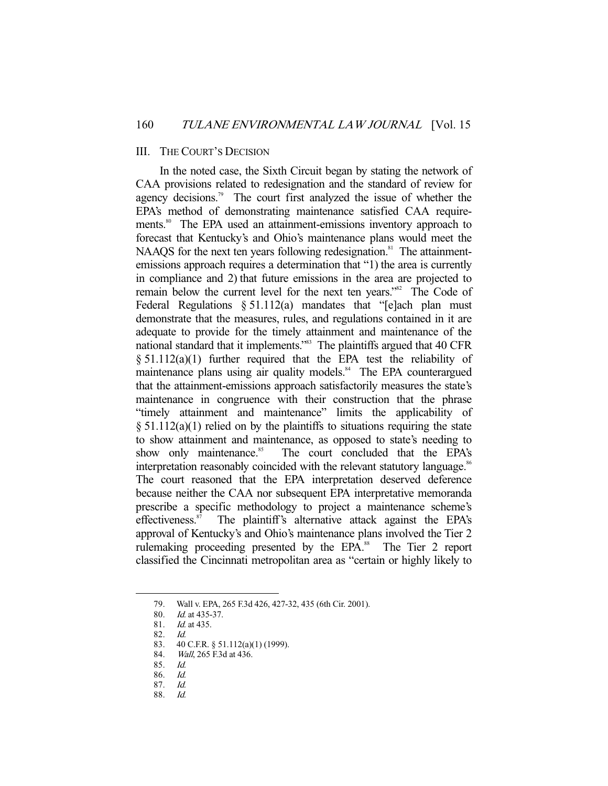## III. THE COURT'S DECISION

 In the noted case, the Sixth Circuit began by stating the network of CAA provisions related to redesignation and the standard of review for agency decisions.<sup>79</sup> The court first analyzed the issue of whether the EPA's method of demonstrating maintenance satisfied CAA requirements.<sup>80</sup> The EPA used an attainment-emissions inventory approach to forecast that Kentucky's and Ohio's maintenance plans would meet the NAAQS for the next ten years following redesignation.<sup>81</sup> The attainmentemissions approach requires a determination that "1) the area is currently in compliance and 2) that future emissions in the area are projected to remain below the current level for the next ten years."<sup>82</sup> The Code of Federal Regulations § 51.112(a) mandates that "[e]ach plan must demonstrate that the measures, rules, and regulations contained in it are adequate to provide for the timely attainment and maintenance of the national standard that it implements."83 The plaintiffs argued that 40 CFR § 51.112(a)(1) further required that the EPA test the reliability of maintenance plans using air quality models.<sup>84</sup> The EPA counterargued that the attainment-emissions approach satisfactorily measures the state's maintenance in congruence with their construction that the phrase "timely attainment and maintenance" limits the applicability of  $\S 51.112(a)(1)$  relied on by the plaintiffs to situations requiring the state to show attainment and maintenance, as opposed to state's needing to show only maintenance.<sup>85</sup> The court concluded that the EPA's interpretation reasonably coincided with the relevant statutory language.<sup>86</sup> The court reasoned that the EPA interpretation deserved deference because neither the CAA nor subsequent EPA interpretative memoranda prescribe a specific methodology to project a maintenance scheme's effectiveness.<sup>87</sup> The plaintiff's alternative attack against the EPA's approval of Kentucky's and Ohio's maintenance plans involved the Tier 2 rulemaking proceeding presented by the EPA.<sup>88</sup> The Tier 2 report classified the Cincinnati metropolitan area as "certain or highly likely to

-

88. Id.

 <sup>79.</sup> Wall v. EPA, 265 F.3d 426, 427-32, 435 (6th Cir. 2001).

<sup>80.</sup> *Id.* at 435-37.<br>81. *Id.* at 435.

Id. at 435.

 <sup>82.</sup> Id.

 <sup>83. 40</sup> C.F.R. § 51.112(a)(1) (1999).

<sup>84.</sup> *Wall*, 265 F.3d at 436.

 <sup>85.</sup> Id.

 <sup>86.</sup> Id.

 <sup>87.</sup> Id.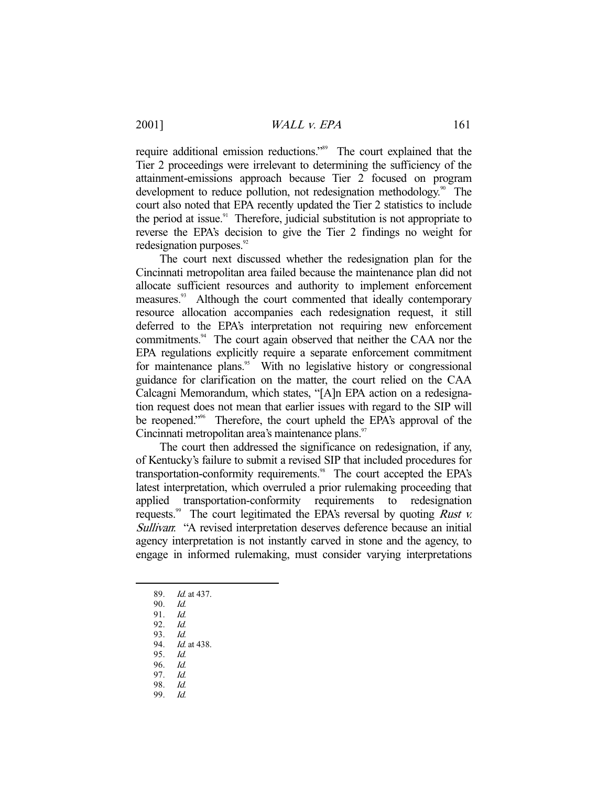require additional emission reductions."<sup>89</sup> The court explained that the Tier 2 proceedings were irrelevant to determining the sufficiency of the attainment-emissions approach because Tier 2 focused on program development to reduce pollution, not redesignation methodology.<sup>90</sup> The court also noted that EPA recently updated the Tier 2 statistics to include the period at issue. $91$  Therefore, judicial substitution is not appropriate to reverse the EPA's decision to give the Tier 2 findings no weight for redesignation purposes.<sup>92</sup>

 The court next discussed whether the redesignation plan for the Cincinnati metropolitan area failed because the maintenance plan did not allocate sufficient resources and authority to implement enforcement measures.<sup>93</sup> Although the court commented that ideally contemporary resource allocation accompanies each redesignation request, it still deferred to the EPA's interpretation not requiring new enforcement commitments.<sup>94</sup> The court again observed that neither the CAA nor the EPA regulations explicitly require a separate enforcement commitment for maintenance plans.<sup>95</sup> With no legislative history or congressional guidance for clarification on the matter, the court relied on the CAA Calcagni Memorandum, which states, "[A]n EPA action on a redesignation request does not mean that earlier issues with regard to the SIP will be reopened."<sup>96</sup> Therefore, the court upheld the EPA's approval of the Cincinnati metropolitan area's maintenance plans.<sup>97</sup>

 The court then addressed the significance on redesignation, if any, of Kentucky's failure to submit a revised SIP that included procedures for transportation-conformity requirements.<sup>98</sup> The court accepted the EPA's latest interpretation, which overruled a prior rulemaking proceeding that applied transportation-conformity requirements to redesignation requests.<sup>99</sup> The court legitimated the EPA's reversal by quoting *Rust v.* Sullivan: "A revised interpretation deserves deference because an initial agency interpretation is not instantly carved in stone and the agency, to engage in informed rulemaking, must consider varying interpretations

- 89. Id. at 437.
- 90. Id.
- 91. *Id.*<br>92. *Id.*

- 92.
- 93. *Id.*<br>94. *Id.* Id. at 438.
- 95. Id.
- 96. Id.
- 97. Id.
- 98. Id.
- 99. Id.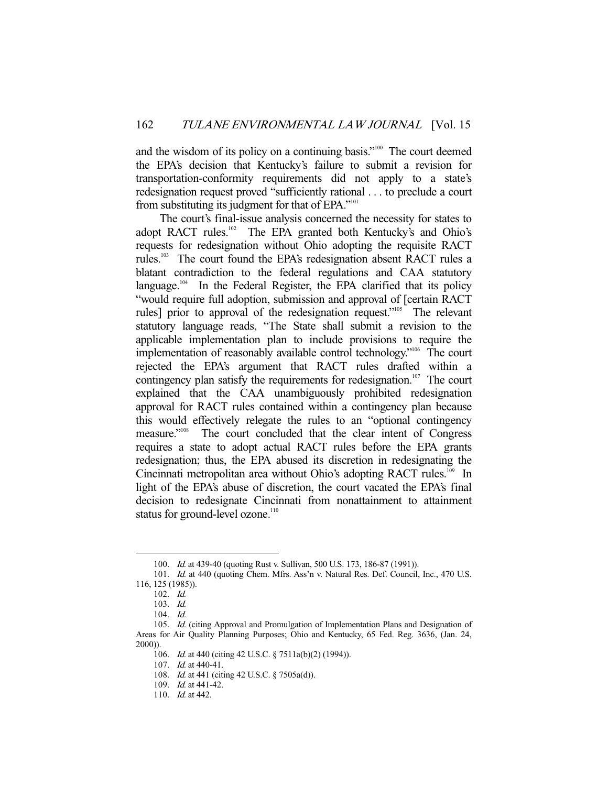and the wisdom of its policy on a continuing basis."<sup>100</sup> The court deemed the EPA's decision that Kentucky's failure to submit a revision for transportation-conformity requirements did not apply to a state's redesignation request proved "sufficiently rational . . . to preclude a court from substituting its judgment for that of EPA."<sup>101</sup>

 The court's final-issue analysis concerned the necessity for states to adopt RACT rules.<sup>102</sup> The EPA granted both Kentucky's and Ohio's requests for redesignation without Ohio adopting the requisite RACT rules.103 The court found the EPA's redesignation absent RACT rules a blatant contradiction to the federal regulations and CAA statutory language.<sup>104</sup> In the Federal Register, the EPA clarified that its policy "would require full adoption, submission and approval of [certain RACT rules] prior to approval of the redesignation request."<sup>105</sup> The relevant statutory language reads, "The State shall submit a revision to the applicable implementation plan to include provisions to require the implementation of reasonably available control technology."<sup>106</sup> The court rejected the EPA's argument that RACT rules drafted within a contingency plan satisfy the requirements for redesignation.<sup>107</sup> The court explained that the CAA unambiguously prohibited redesignation approval for RACT rules contained within a contingency plan because this would effectively relegate the rules to an "optional contingency measure."<sup>108</sup> The court concluded that the clear intent of Congress requires a state to adopt actual RACT rules before the EPA grants redesignation; thus, the EPA abused its discretion in redesignating the Cincinnati metropolitan area without Ohio's adopting RACT rules.<sup>109</sup> In light of the EPA's abuse of discretion, the court vacated the EPA's final decision to redesignate Cincinnati from nonattainment to attainment status for ground-level ozone.<sup>110</sup>

<sup>100.</sup> *Id.* at 439-40 (quoting Rust v. Sullivan, 500 U.S. 173, 186-87 (1991)).

<sup>101.</sup> Id. at 440 (quoting Chem. Mfrs. Ass'n v. Natural Res. Def. Council, Inc., 470 U.S. 116, 125 (1985)).

 <sup>102.</sup> Id.

 <sup>103.</sup> Id.

 <sup>104.</sup> Id.

<sup>105.</sup> *Id.* (citing Approval and Promulgation of Implementation Plans and Designation of Areas for Air Quality Planning Purposes; Ohio and Kentucky, 65 Fed. Reg. 3636, (Jan. 24, 2000)).

 <sup>106.</sup> Id. at 440 (citing 42 U.S.C. § 7511a(b)(2) (1994)).

 <sup>107.</sup> Id. at 440-41.

 <sup>108.</sup> Id. at 441 (citing 42 U.S.C. § 7505a(d)).

 <sup>109.</sup> Id. at 441-42.

<sup>110.</sup> *Id.* at 442.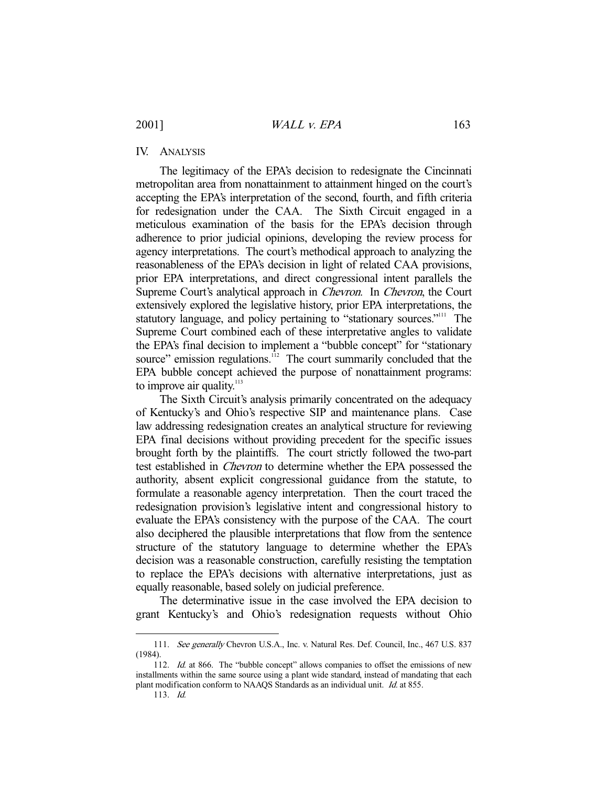# IV. ANALYSIS

 The legitimacy of the EPA's decision to redesignate the Cincinnati metropolitan area from nonattainment to attainment hinged on the court's accepting the EPA's interpretation of the second, fourth, and fifth criteria for redesignation under the CAA. The Sixth Circuit engaged in a meticulous examination of the basis for the EPA's decision through adherence to prior judicial opinions, developing the review process for agency interpretations. The court's methodical approach to analyzing the reasonableness of the EPA's decision in light of related CAA provisions, prior EPA interpretations, and direct congressional intent parallels the Supreme Court's analytical approach in Chevron. In Chevron, the Court extensively explored the legislative history, prior EPA interpretations, the statutory language, and policy pertaining to "stationary sources."<sup>111</sup> The Supreme Court combined each of these interpretative angles to validate the EPA's final decision to implement a "bubble concept" for "stationary source" emission regulations. $1/12$  The court summarily concluded that the EPA bubble concept achieved the purpose of nonattainment programs: to improve air quality. $113$ 

 The Sixth Circuit's analysis primarily concentrated on the adequacy of Kentucky's and Ohio's respective SIP and maintenance plans. Case law addressing redesignation creates an analytical structure for reviewing EPA final decisions without providing precedent for the specific issues brought forth by the plaintiffs. The court strictly followed the two-part test established in Chevron to determine whether the EPA possessed the authority, absent explicit congressional guidance from the statute, to formulate a reasonable agency interpretation. Then the court traced the redesignation provision's legislative intent and congressional history to evaluate the EPA's consistency with the purpose of the CAA. The court also deciphered the plausible interpretations that flow from the sentence structure of the statutory language to determine whether the EPA's decision was a reasonable construction, carefully resisting the temptation to replace the EPA's decisions with alternative interpretations, just as equally reasonable, based solely on judicial preference.

 The determinative issue in the case involved the EPA decision to grant Kentucky's and Ohio's redesignation requests without Ohio

<sup>111.</sup> See generally Chevron U.S.A., Inc. v. Natural Res. Def. Council, Inc., 467 U.S. 837 (1984).

<sup>112.</sup> Id. at 866. The "bubble concept" allows companies to offset the emissions of new installments within the same source using a plant wide standard, instead of mandating that each plant modification conform to NAAQS Standards as an individual unit. Id. at 855.

 <sup>113.</sup> Id.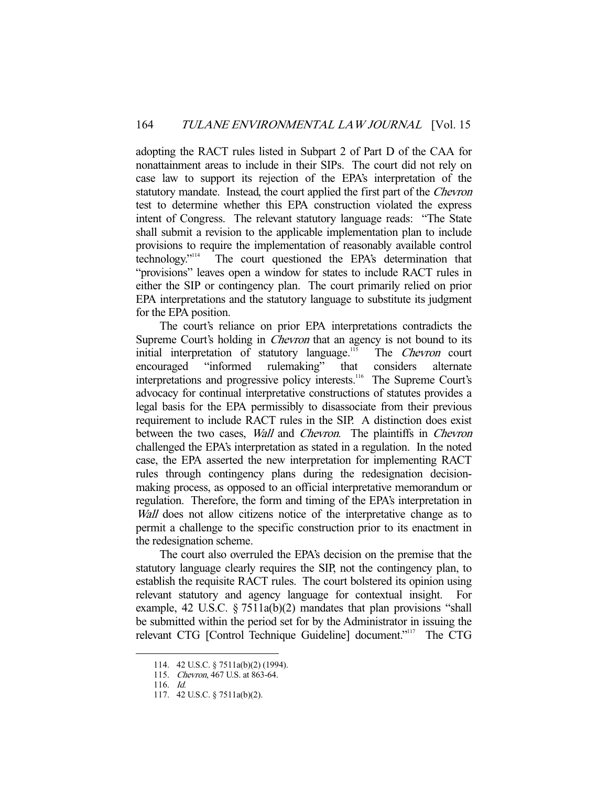adopting the RACT rules listed in Subpart 2 of Part D of the CAA for nonattainment areas to include in their SIPs. The court did not rely on case law to support its rejection of the EPA's interpretation of the statutory mandate. Instead, the court applied the first part of the Chevron test to determine whether this EPA construction violated the express intent of Congress. The relevant statutory language reads: "The State shall submit a revision to the applicable implementation plan to include provisions to require the implementation of reasonably available control technology."114 The court questioned the EPA's determination that "provisions" leaves open a window for states to include RACT rules in either the SIP or contingency plan. The court primarily relied on prior EPA interpretations and the statutory language to substitute its judgment for the EPA position.

 The court's reliance on prior EPA interpretations contradicts the Supreme Court's holding in *Chevron* that an agency is not bound to its initial interpretation of statutory language.<sup>115</sup> The *Chevron* court encouraged "informed rulemaking" that considers alternate interpretations and progressive policy interests.<sup>116</sup> The Supreme Court's advocacy for continual interpretative constructions of statutes provides a legal basis for the EPA permissibly to disassociate from their previous requirement to include RACT rules in the SIP. A distinction does exist between the two cases, *Wall* and *Chevron*. The plaintiffs in *Chevron* challenged the EPA's interpretation as stated in a regulation. In the noted case, the EPA asserted the new interpretation for implementing RACT rules through contingency plans during the redesignation decisionmaking process, as opposed to an official interpretative memorandum or regulation. Therefore, the form and timing of the EPA's interpretation in Wall does not allow citizens notice of the interpretative change as to permit a challenge to the specific construction prior to its enactment in the redesignation scheme.

 The court also overruled the EPA's decision on the premise that the statutory language clearly requires the SIP, not the contingency plan, to establish the requisite RACT rules. The court bolstered its opinion using relevant statutory and agency language for contextual insight. For example, 42 U.S.C. § 7511a(b)(2) mandates that plan provisions "shall be submitted within the period set for by the Administrator in issuing the relevant CTG [Control Technique Guideline] document."117 The CTG

 <sup>114. 42</sup> U.S.C. § 7511a(b)(2) (1994).

 <sup>115.</sup> Chevron, 467 U.S. at 863-64.

 <sup>116.</sup> Id.

 <sup>117. 42</sup> U.S.C. § 7511a(b)(2).